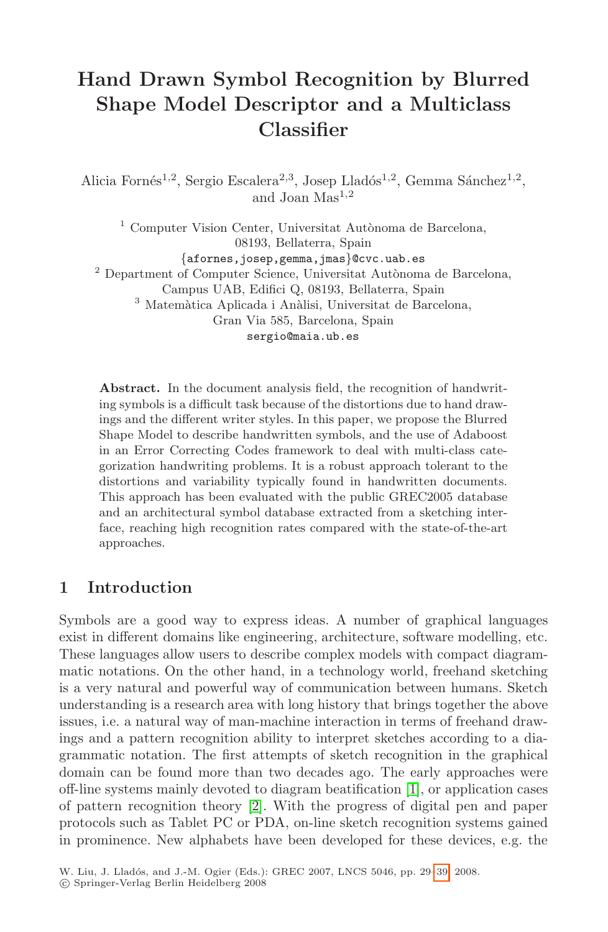# **Hand Drawn Symbol Recognition by Blurred Shape Model Descriptor and a Multiclass Classifier**

Alicia Fornés<sup>1,2</sup>, Sergio Escalera<sup>2,3</sup>, Josep Lladós<sup>1,2</sup>, Gemma Sánchez<sup>1,2</sup>, and Joan Mas<sup>1,2</sup>

 $1$  Computer Vision Center, Universitat Autònoma de Barcelona, 08193, Bellaterra, Spain

{afornes,josep,gemma,jmas}@cvc.uab.es  $^2$  Department of Computer Science, Universitat Autònoma de Barcelona, Campus UAB, Edifici Q, 08193, Bellaterra, Spain  $^3$  Matemàtica Aplicada i Anàlisi, Universitat de Barcelona, Gran Via 585, Barcelona, Spain sergio@maia.ub.es

**Abstract.** In the document analysis field, the recognition of handwriting symbols is a difficult task because of the distortions due to hand drawings and the different writer styles. In this paper, we propose the Blurred Shape Model to describe handwritten symbols, and the use of Adaboost in an Error Correcting Codes framework to deal with multi-class categorization handwriting problems. It is a robust approach tolerant to the distortions and variability typically found in handwritten documents. This approach has been evaluated with the public GREC2005 database and an architectural symbol database extracted from a sketching interface, reaching high recognition rates compared with the state-of-the-art approaches.

## **1 Introduction**

Symbols are a good way to express ideas. A number of graphical languages exist in different domains like engineering, architecture, software modelling, etc. These languages allow users to descri[be](#page-9-0) complex models with compact diagrammatic notat[ion](#page-9-1)s. On the other hand, in a technology world, freehand sketching is a very natural and powerful way of communication between humans. Sketch understanding is a research area with long history that brings together the above issues, i.e. a natural way of man-machine interaction in terms of freehand drawings and a pattern recognition ability to [int](#page-10-0)erpret sketches according to a diagrammatic notation. The first attempts of sketch recognition in the graphical domain can be found more than two decades ago. The early approaches were off-line systems mainly devoted to diagram beatification [1], or application cases of pattern recognition theory [2]. With the progress of digital pen and paper protocols such as Tablet PC or PDA, on-line sketch recognition systems gained in prominence. New alphabets have been developed for these devices, e.g. the

W. Liu, J. Lladós, and J.-M. Ogier (Eds.): GREC 2007, LNCS 5046, pp. 29-39, 2008.

<sup>-</sup>c Springer-Verlag Berlin Heidelberg 2008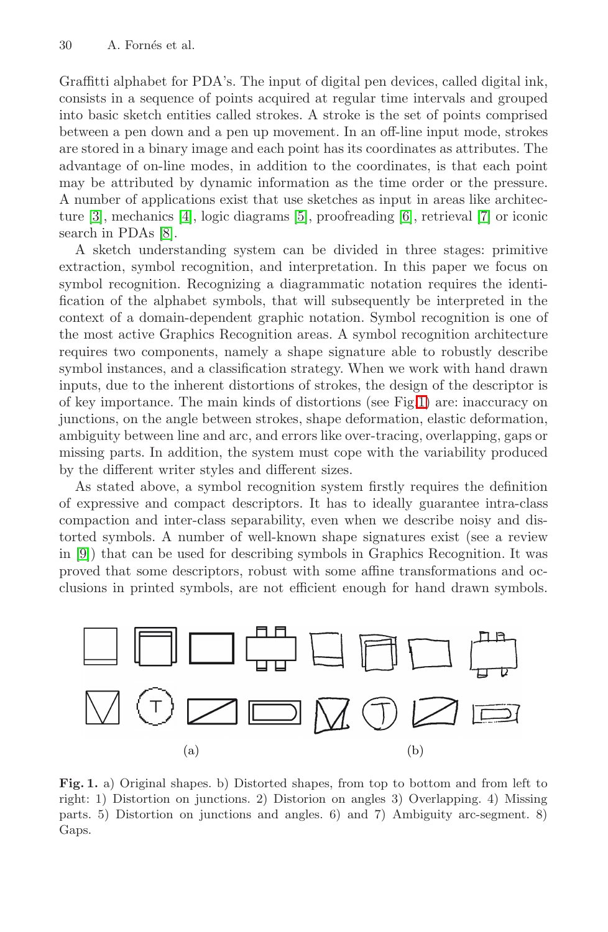[Gr](#page-9-2)affitti alphabet f[or](#page-9-3) PDA's. The in[pu](#page-9-4)t of digital [p](#page-9-5)en devices, called digital ink, consists in a sequence of points acquired at regular time intervals and grouped into basic sketch entities called strokes. A stroke is the set of points comprised between a pen down and a pen up movement. In an off-line input mode, strokes are stored in a binary image and each point has its coordinates as attributes. The advantage of on-line modes, in addition to the coordinates, is that each point may be attributed by dynamic information as the time order or the pressure. A number of applications exist that use sketches as input in areas like architecture [3], mechanics [4], logic diagrams [5], proofreading [6], retrieval [7] or iconic search in PDAs [8].

A sketch understanding system can be divided in three stages: primitive extraction, symbol recognition, and i[nte](#page-1-0)rpretation. In this paper we focus on symbol recognition. Recognizing a diagrammatic notation requires the identification of the alphabet symbols, that will subsequently be interpreted in the context of a domain-dependent graphic notation. Symbol recognition is one of the most active Graphics Recognition areas. A symbol recognition architecture requires two components, namely a shape signature able to robustly describe symbol instances, and a classification strategy. When we work with hand drawn inputs, due to the inherent distortions of strokes, the design of the descriptor is of key importance. The main kinds of distortions (see Fig.1) are: inaccuracy on junctions, on the angle between strokes, shape deformation, elastic deformation, ambiguity between line and arc, and errors like over-tracing, overlapping, gaps or missing parts. In addition, the system must cope with the variability produced by the different writer styles and different sizes.

As stated above, a symbol recognition system firstly requires the definition of expressive and compact descriptors. It has to ideally guarantee intra-class compaction and inter-class separability, even when we describe noisy and distorted symbols. A number of well-known shape signatures exist (see a review in [9]) that can be used for describing symbols in Graphics Recognition. It was proved that some descriptors, robust with some affine transformations and occlusions in printed symbols, are not efficient enough for hand drawn symbols.

<span id="page-1-0"></span>

Fig. 1. a) Original shapes. b) Distorted shapes, from top to bottom and from left to right: 1) Distortion on junctions. 2) Distorion on angles 3) Overlapping. 4) Missing parts. 5) Distortion on junctions and angles. 6) and 7) Ambiguity arc-segment. 8) Gaps.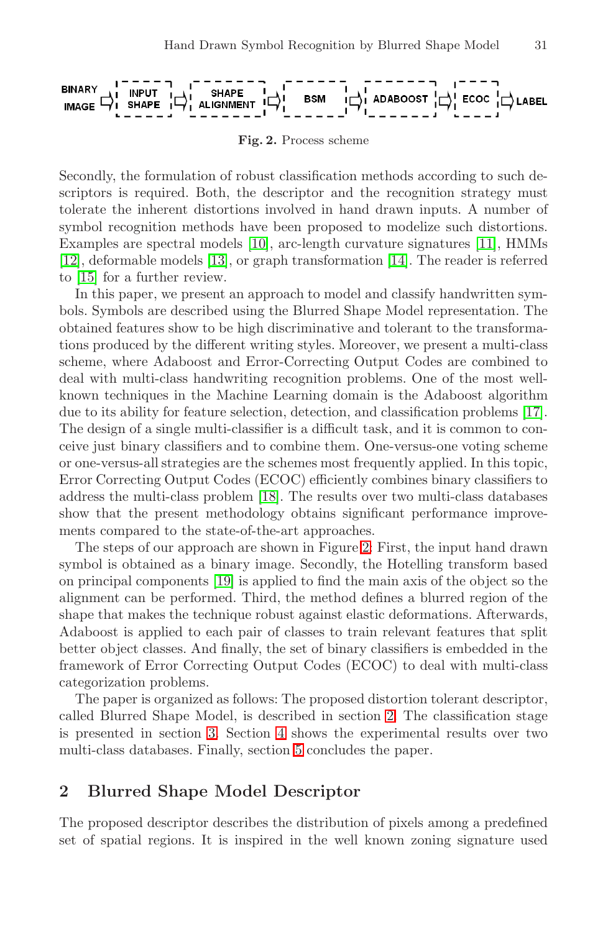<span id="page-2-0"></span>

**Fig. 2.** [P](#page-9-6)rocess scheme

Secondly, the formulation of robust classification methods according to such descriptors is required. Both, the descriptor and the recognition strategy must tolerate the inherent distortions involved in hand drawn inputs. A number of symbol recognition methods have been proposed to modelize such distortions. Examples are spectral models [10], arc-length curvature signatures [11], HMMs [12], deformable models [13], or graph transformation [14]. The reader is referred to [15] for a further review.

In this paper, we present an approach to model and cl[assif](#page-10-1)y handwritten symbols. Symbols are described using the Blurred Shape Model representation. The obtained features show to be high discriminative and tolerant to the transformations produced by the different writing styles. Moreover, we present a multi-class scheme, wher[e A](#page-10-2)daboost and Error-Correcting Output Codes are combined to deal with multi-class handwriting recognition problems. One of the most wellknown techniques in the Machine Learning domain is the Adaboost algorithm due to its ability for feature se[lec](#page-2-0)tion, detection, and classification problems [17]. The design of a single multi-classifier is a difficult task, and it is common to conceive j[ust](#page-10-3) binary classifiers and to combine them. One-versus-one voting scheme or one-versus-all strategies are the schemes most frequently applied. In this topic, Error Correcting Output Codes (ECOC) efficiently combines binary classifiers to address the multi-class problem [18]. The results over two multi-class databases show that the present methodology obtains significant performance improvements compared to the state-of-the-art approaches.

The steps of our approach are shown in Figure 2: First, the input hand drawn symbol is obtained as a binary image. Secondly, the Hotelling transform based on principal components [19] is ap[pli](#page-2-1)ed to find the main axis of the object so the align[m](#page-4-0)ent can b[e](#page-5-0) performed. Third, the method defines a blurred region of the shape that makes t[he](#page-8-0) technique robust against elastic deformations. Afterwards, Adaboost is applied to each pair of classes to train relevant features that split better object classes. And finally, the set of binary classifiers is embedded in the framework of Error Correcting Output Codes (ECOC) to deal with multi-class categorization problems.

<span id="page-2-1"></span>The paper is organized as follows: The proposed distortion tolerant descriptor, called Blurred Shape Model, is described in section 2. The classification stage is presented in section 3. Section 4 shows the experimental results over two multi-class databases. Finally, section 5 concludes the paper.

## **2 Blurred Shape Model Descriptor**

The proposed descriptor describes the distribution of pixels among a predefined set of spatial regions. It is inspired in the well known zoning signature used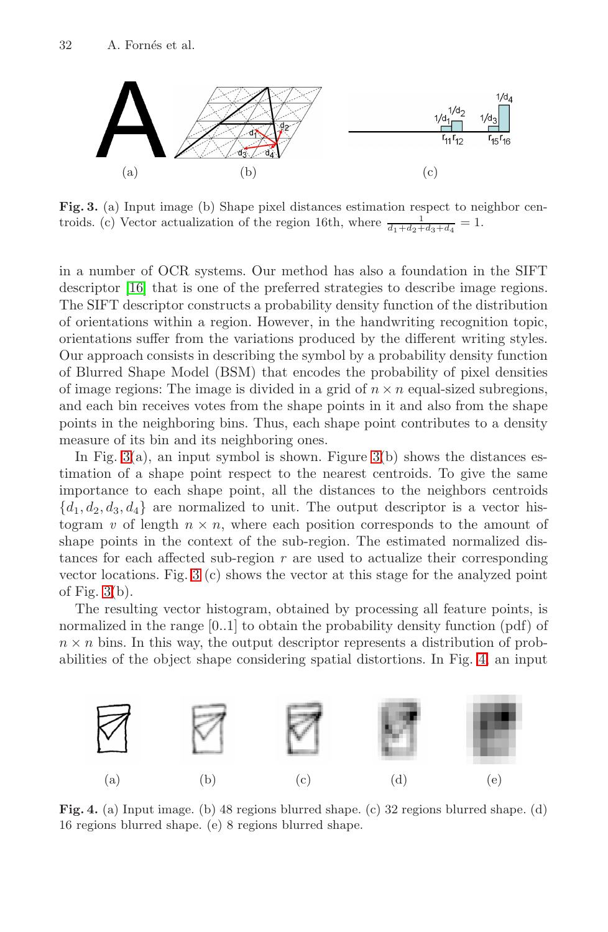<span id="page-3-0"></span>

**Fig. 3.** (a) Input image (b) Shape pixel distances estimation respect to neighbor centroids. (c) Vector actualization of the region 16th, where  $\frac{1}{d_1+d_2+d_3+d_4} = 1$ .

in a number of OCR systems. Our method has also a foundation in the SIFT descriptor [16] that is one of the preferred strategies to describe image regions. The SIFT descriptor constructs a probability density function of the distribution of orientations within a region. [H](#page-3-0)owever, in the handwriting recognition topic, orientations suffer from the variations produced by the different writing styles. Our approach consists in describing the symbol by a probability density function of Blurred Shape Model (BSM) that encodes the probability of pixel densities of image regions: The image is divided in a grid of  $n \times n$  equal-sized subregions, and each bin receives votes from the shape points in it and also from the shape points in the neighboring bins. Thus, each shape point contributes to a density m[ea](#page-3-0)sure of its bin and its neighboring ones.

In Fig.  $3(a)$ , an input symbol is shown. Figure  $3(b)$  shows the distances estimation of a shape point respect to the nearest centroids. To give the same importance to each shape point, all the distances to the neighbors centroids  ${d_1, d_2, d_3, d_4}$  are normalized to unit. The output descriptor is a vector histogram *v* of length  $n \times n$ , where each position [co](#page-3-1)rresponds to the amount of shape points in the context of the sub-region. The estimated normalized distances for each affected sub-region *r* are used to actualize their corresponding vector locations. Fig. 3 (c) shows the vector at this stage for the analyzed point of Fig. 3(b).

<span id="page-3-1"></span>The resulting vector histogram, obtained by processing all feature points, is normalized in the range [0*..*1] to obtain the probability density function (pdf) of  $n \times n$  bins. In this way, the output descriptor represents a distribution of probabilities of the object shape considering spatial distortions. In Fig. 4, an input



**Fig. 4.** (a) Input image. (b) 48 regions blurred shape. (c) 32 regions blurred shape. (d) 16 regions blurred shape. (e) 8 regions blurred shape.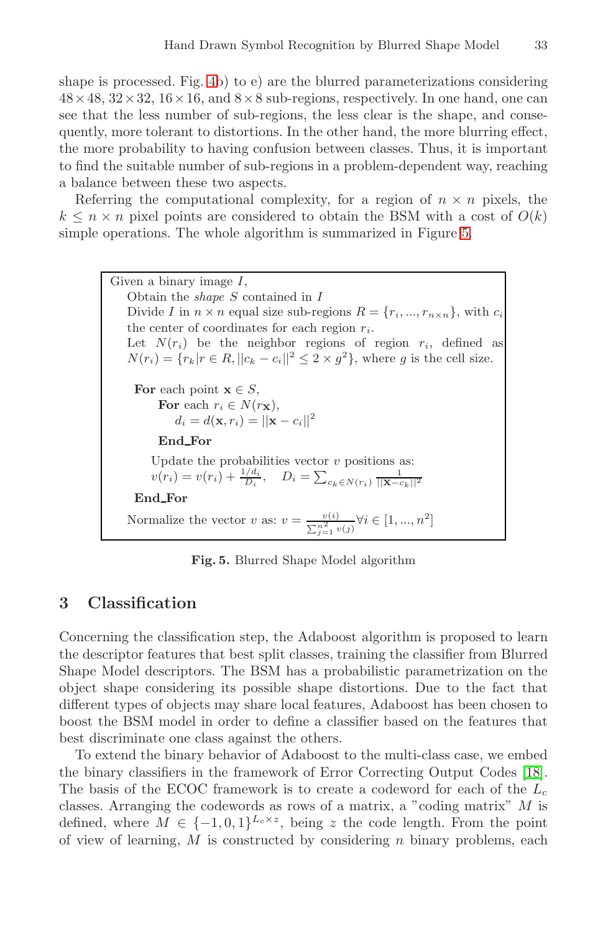shape is processed. Fig. 4b) to e) are the blurred parameterizations considering  $48 \times 48$ ,  $32 \times 32$ ,  $16 \times 16$ , and  $8 \times 8$  sub-[re](#page-4-1)gions, respectively. In one hand, one can see that the less number of sub-regions, the less clear is the shape, and consequently, more tolerant to distortions. In the other hand, the more blurring effect, the more probability to having confusion between classes. Thus, it is important to find the suitable number of sub-regions in a problem-dependent way, reaching a balance between these two aspects.

Referring the computational complexity, for a region of  $n \times n$  pixels, the  $k \leq n \times n$  pixel points are considered to obtain the BSM with a cost of  $O(k)$ simple operations. The whole algorithm is summarized in Figure 5.



**Fig. 5.** Blurred Shape Model algorithm

## <span id="page-4-1"></span><span id="page-4-0"></span>**3 Classification**

Concerning the classification step, the Adaboost algorit[hm](#page-10-2) is proposed to learn the descriptor features that best split classes, training the classifier from Blurred Shape Model descriptors. The BSM has a probabilistic parametrization on the object shape considering its possible shape distortions. Due to the fact that different types of objects may share local features, Adaboost has been chosen to boost the BSM model in order to define a classifier based on the features that best discriminate one class against the others.

To extend the binary behavior of Adaboost to the multi-class case, we embed the binary classifiers in the framework of Error Correcting Output Codes [18]. The basis of the ECOC framework is to create a codeword for each of the *L<sup>c</sup>* classes. Arranging the codewords as rows of a matrix, a "coding matrix" *M* is defined, where  $\tilde{M} \in \{-1,0,1\}^{L_c \times z}$ , being *z* the code length. From the point of view of learning, *M* is constructed by considering *n* binary problems, each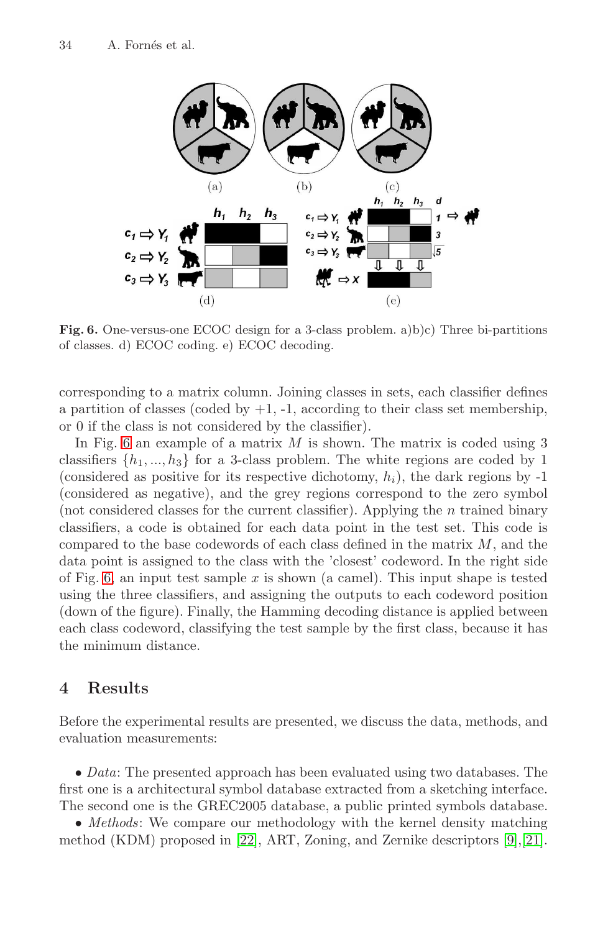

**Fig. 6.** One-versus-one ECOC design for a 3-class problem. a)b)c) Three bi-partitions of classes. d) ECOC coding. e) ECOC decoding.

corresponding to a matrix column. Joining classes in sets, each classifier defines a partition of classes (coded by  $+1$ ,  $-1$ , according to their class set membership, or 0 if the class is not considered by the classifier).

<span id="page-5-0"></span>In Fig. 6 an example of a matrix *M* is shown. The matrix is coded using 3 classifiers  $\{h_1, ..., h_3\}$  for a 3-class problem. The white regions are coded by 1 (considered as positive for its respective dichotomy,  $h_i$ ), the dark regions by  $-1$ (considered as negative), and the grey regions correspond to the zero symbol (not considered classes for the current classifier). Applying the *n* trained binary classifiers, a code is obtained for each data point in the test set. This code is compared to the base codewords of each class defined in the matrix *M*, and the data point is assigned to the class with the 'closest' codeword. In the right side of Fig. 6, an input test sample *x* is shown (a camel). This input shape is tested using the three classifiers, and assigning the outputs to each codeword position (down of the figure). Finally, the Hamming decoding distance is applied between each class codeword, classifying the test sample by the first class, because it has the minimum distance.

#### **4 Results**

Before the [exp](#page-10-4)erimental results are presented, we disc[uss](#page-9-7) [the](#page-10-5) data, methods, and evaluation measurements:

• *Data*: The presented approach has been evaluated using two databases. The first one is a architectural symbol database extracted from a sketching interface. The second one is the GREC2005 database, a public printed symbols database.

• *Methods*: We compare our methodology with the kernel density matching method (KDM) proposed in [22], ART, Zoning, and Zernike descriptors [9],[21].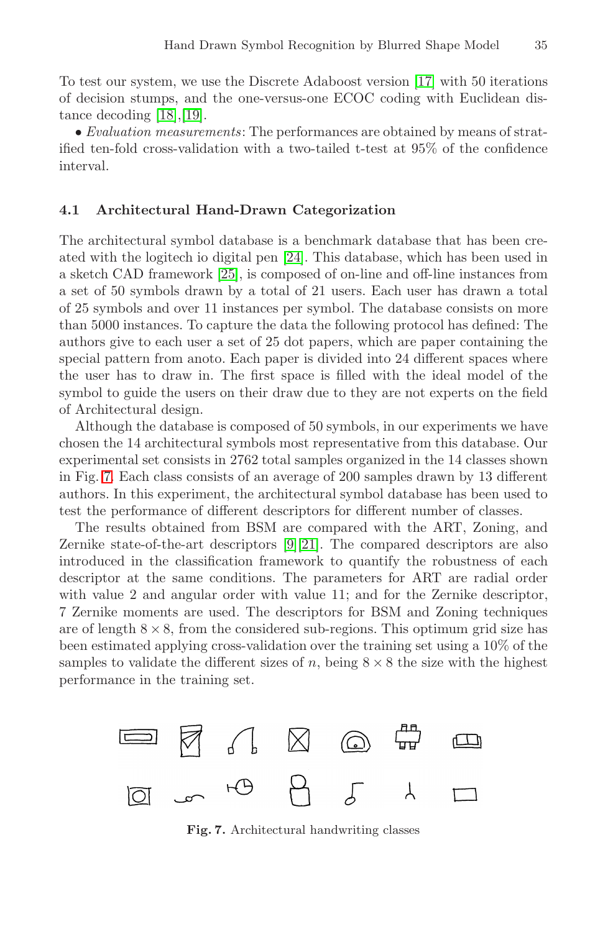To test our system, we use the Discrete Adaboost version [17] with 50 iterations of decision stumps, and the one-versus-one ECOC coding with Euclidean distance decoding [18],[19].

• *Evaluation m[easu](#page-10-6)rements*: The performances are obtained by means of stratified te[n-fo](#page-10-7)ld cross-validation with a two-tailed t-test at 95% of the confidence interval.

#### **4.1 Architectural Hand-Drawn Categorization**

The architectural symbol database is a benchmark database that has been created with the logitech io digital pen [24]. This database, which has been used in a sketch CAD framework [25], is composed of on-line and off-line instances from a set of 50 symbols drawn by a total of 21 users. Each user has drawn a total of 25 symbols and over 11 instances per symbol. The database consists on more than 5000 instances. To capture the data the following protocol has defined: The authors give to each user a set of 25 dot papers, which are paper containing the special pattern from anoto. Each paper is divided into 24 different spaces where the user has to draw in. The first space is filled with the ideal model of the symbol to guide the users on their draw due to they are not experts on the field of Architectural [des](#page-9-7)[ign.](#page-10-5)

Although the database is composed of 50 symbols, in our experiments we have chosen the 14 architectural symbols most representative from this database. Our experimental set consists in 2762 total samples organized in the 14 classes shown in Fig. 7. Each class consists of an average of 200 samples drawn by 13 different authors. In this experiment, the architectural symbol database has been used to test the performance of different descriptors for different number of classes.

The results obtained from BSM are compared with the ART, Zoning, and Zernike state-of-the-art descriptors [9][21]. The compared descriptors are also introduced in the classification framework to quantify the robustness of each descriptor at the same conditions. The parameters for ART are radial order with value 2 and angular order with value 11; and for the Zernike descriptor, 7 Zernike moments are used. The descriptors for BSM and Zoning techniques are of length  $8 \times 8$ , from the considered sub-regions. This optimum grid size has been estimated applying cross-validation over the training set using a 10% of the samples to validate the different sizes of  $n$ , being  $8 \times 8$  the size with the highest performance in the training set.



**Fig. 7.** Architectural handwriting classes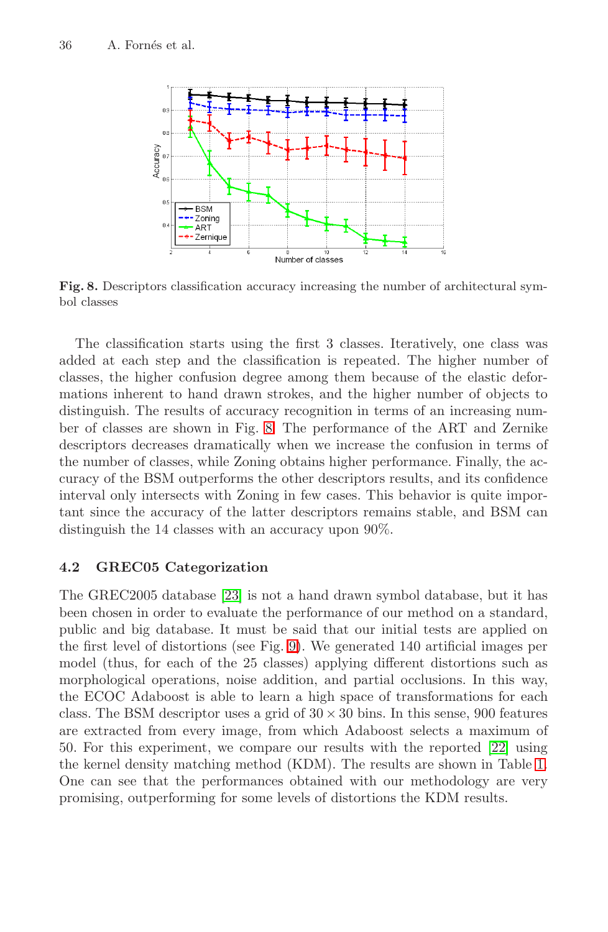

<span id="page-7-0"></span>**Fig. 8.** Descrip[tor](#page-7-0)s classification accuracy increasing the number of architectural symbol classes

The classification starts using the first 3 classes. Iteratively, one class was added at each step and the classification is repeated. The higher number of classes, the higher confusion degree among them because of the elastic deformations inherent to hand drawn strokes, and the higher number of objects to distinguish. The results of accuracy recognition in terms of an increasing number of classes are shown in Fig. 8. The performance of the ART and Zernike descriptors decreases dramatically when we increase the confusion in terms of the nu[mbe](#page-10-8)r of classes, while Zoning obtains higher performance. Finally, the accuracy of the BSM outperforms the other descriptors results, and its confidence interval only intersects with Zoning in few cases. This behavior is quite important since the acc[ur](#page-8-1)acy of the latter descriptors remains stable, and BSM can distinguish the 14 classes with an accuracy upon 90%.

#### **4.2 GREC05 Categorization**

The GREC2005 database [23] is not a hand drawn symbol database, but it has been chosen in order to evaluate the performance [of ou](#page-10-4)r method on a standard, public and big database. It must be said that our initial [te](#page-8-2)sts are applied on the first level of distortions (see Fig. 9). We generated 140 artificial images per model (thus, for each of the 25 classes) applying different distortions such as morphological operations, noise addition, and partial occlusions. In this way, the ECOC Adaboost is able to learn a high space of transformations for each class. The BSM descriptor uses a grid of  $30 \times 30$  bins. In this sense, 900 features are extracted from every image, from which Adaboost selects a maximum of 50. For this experiment, we compare our results with the reported [22] using the kernel density matching method (KDM). The results are shown in Table 1. One can see that the performances obtained with our methodology are very promising, outperforming for some levels of distortions the KDM results.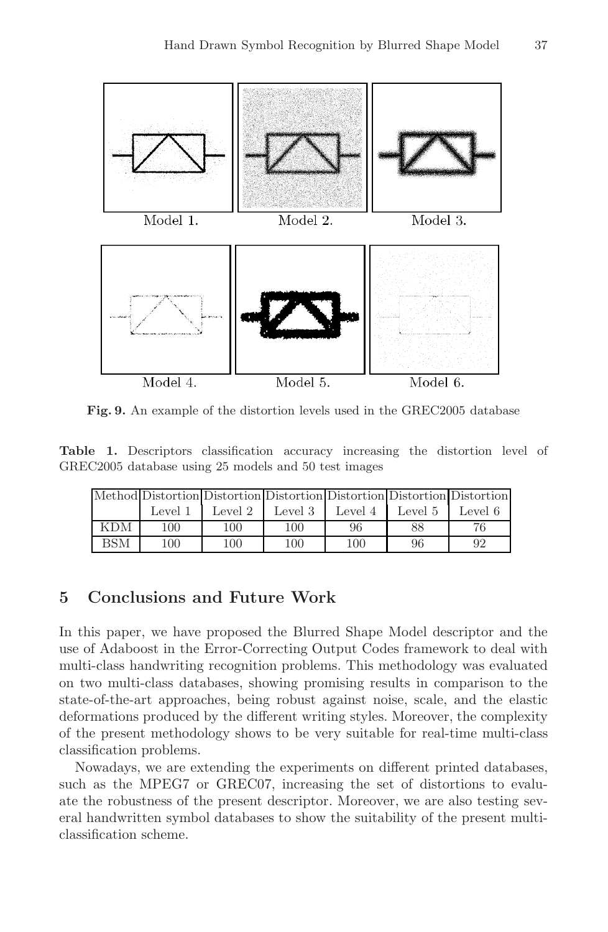

**Fig. 9.** An example of the distortion levels used in the GREC2005 database

<span id="page-8-2"></span><span id="page-8-1"></span>**Table 1.** Descriptors classification accuracy increasing the distortion level of GREC2005 database using 25 models and 50 test images

|            |         |             | Method Distortion Distortion Distortion Distortion Distortion Distortion |     |                 |         |
|------------|---------|-------------|--------------------------------------------------------------------------|-----|-----------------|---------|
|            | Level 1 | Level $2-1$ | Level $3$ $\blacksquare$                                                 |     | Level 4 Level 5 | Level 6 |
| <b>KDM</b> | 100     | 100         | 100                                                                      | 96  | 88              |         |
| BSM        | 100     | 100         | 100                                                                      | 100 | 96              | 92      |

### <span id="page-8-0"></span>**5 Conclusions and Future Work**

In this paper, we have proposed the Blurred Shape Model descriptor and the use of Adaboost in the Error-Correcting Output Codes framework to deal with multi-class handwriting recognition problems. This methodology was evaluated on two multi-class databases, showing promising results in comparison to the state-of-the-art approaches, being robust against noise, scale, and the elastic deformations produced by the different writing styles. Moreover, the complexity of the present methodology shows to be very suitable for real-time multi-class classification problems.

Nowadays, we are extending the experiments on different printed databases, such as the MPEG7 or GREC07, increasing the set of distortions to evaluate the robustness of the present descriptor. Moreover, we are also testing several handwritten symbol databases to show the suitability of the present multiclassification scheme.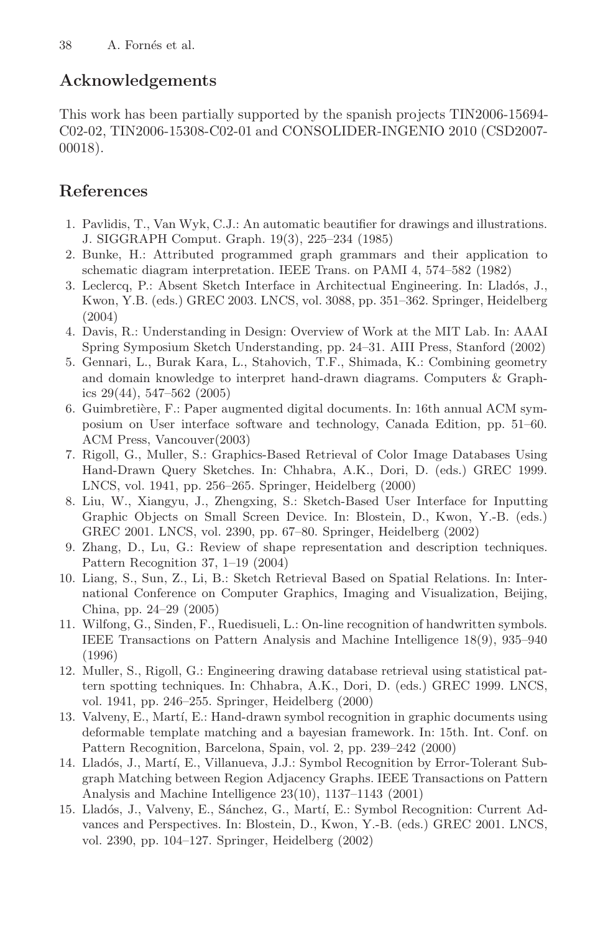## **Acknowledgements**

This work has been partially supported by the spanish projects TIN2006-15694- C02-02, TIN2006-15308-C02-01 and CONSOLIDER-INGENIO 2010 (CSD2007- 00018).

## <span id="page-9-0"></span>**References**

- 1. Pavlidis, T., Van Wyk, C.J.: An automatic beautifier for drawings and illustrations. J. SIGGRAPH Comput. Graph. 19(3), 225–234 (1985)
- <span id="page-9-1"></span>2. Bunke, H.: Attributed programmed graph grammars and their application to schematic diagram interpretation. IEEE Trans. on PAMI 4, 574–582 (1982)
- 3. Leclercq, P.: Absent Sketch Interface in Architectual Engineering. In: Llad´os, J., Kwon, Y.B. (eds.) GREC 2003. LNCS, vol. 3088, pp. 351–362. Springer, Heidelberg (2004)
- <span id="page-9-2"></span>4. Davis, R.: Understanding in Design: Overview of Work at the MIT Lab. In: AAAI Spring Symposium Sketch Understanding, pp. 24–31. AIII Press, Stanford (2002)
- <span id="page-9-3"></span>5. Gennari, L., Burak Kara, L., Stahovich, T.F., Shimada, K.: Combining geometry and domain knowledge to interpret hand-drawn diagrams. Computers & Graphics 29(44), 547–562 (2005)
- <span id="page-9-4"></span>6. Guimbretière, F.: Paper augmented digital documents. In: 16th annual ACM symposium on User interface software and technology, Canada Edition, pp. 51–60. ACM Press, Vancouver(2003)
- <span id="page-9-5"></span>7. Rigoll, G., Muller, S.: Graphics-Based Retrieval of Color Image Databases Using Hand-Drawn Query Sketches. In: Chhabra, A.K., Dori, D. (eds.) GREC 1999. LNCS, vol. 1941, pp. 256–265. Springer, Heidelberg (2000)
- 8. Liu, W., Xiangyu, J., Zhengxing, S.: Sketch-Based User Interface for Inputting Graphic Objects on Small Screen Device. In: Blostein, D., Kwon, Y.-B. (eds.) GREC 2001. LNCS, vol. 2390, pp. 67–80. Springer, Heidelberg (2002)
- <span id="page-9-7"></span>9. Zhang, D., Lu, G.: Review of shape representation and description techniques. Pattern Recognition 37, 1–19 (2004)
- 10. Liang, S., Sun, Z., Li, B.: Sketch Retrieval Based on Spatial Relations. In: International Conference on Computer Graphics, Imaging and Visualization, Beijing, China, pp. 24–29 (2005)
- 11. Wilfong, G., Sinden, F., Ruedisueli, L.: On-line recognition of handwritten symbols. IEEE Transactions on Pattern Analysis and Machine Intelligence 18(9), 935–940 (1996)
- 12. Muller, S., Rigoll, G.: Engineering drawing database retrieval using statistical pattern spotting techniques. In: Chhabra, A.K., Dori, D. (eds.) GREC 1999. LNCS, vol. 1941, pp. 246–255. Springer, Heidelberg (2000)
- 13. Valveny, E., Martí, E.: Hand-drawn symbol recognition in graphic documents using deformable template matching and a bayesian framework. In: 15th. Int. Conf. on Pattern Recognition, Barcelona, Spain, vol. 2, pp. 239–242 (2000)
- <span id="page-9-6"></span>14. Lladós, J., Martí, E., Villanueva, J.J.: Symbol Recognition by Error-Tolerant Subgraph Matching between Region Adjacency Graphs. IEEE Transactions on Pattern Analysis and Machine Intelligence 23(10), 1137–1143 (2001)
- 15. Lladós, J., Valveny, E., Sánchez, G., Martí, E.: Symbol Recognition: Current Advances and Perspectives. In: Blostein, D., Kwon, Y.-B. (eds.) GREC 2001. LNCS, vol. 2390, pp. 104–127. Springer, Heidelberg (2002)